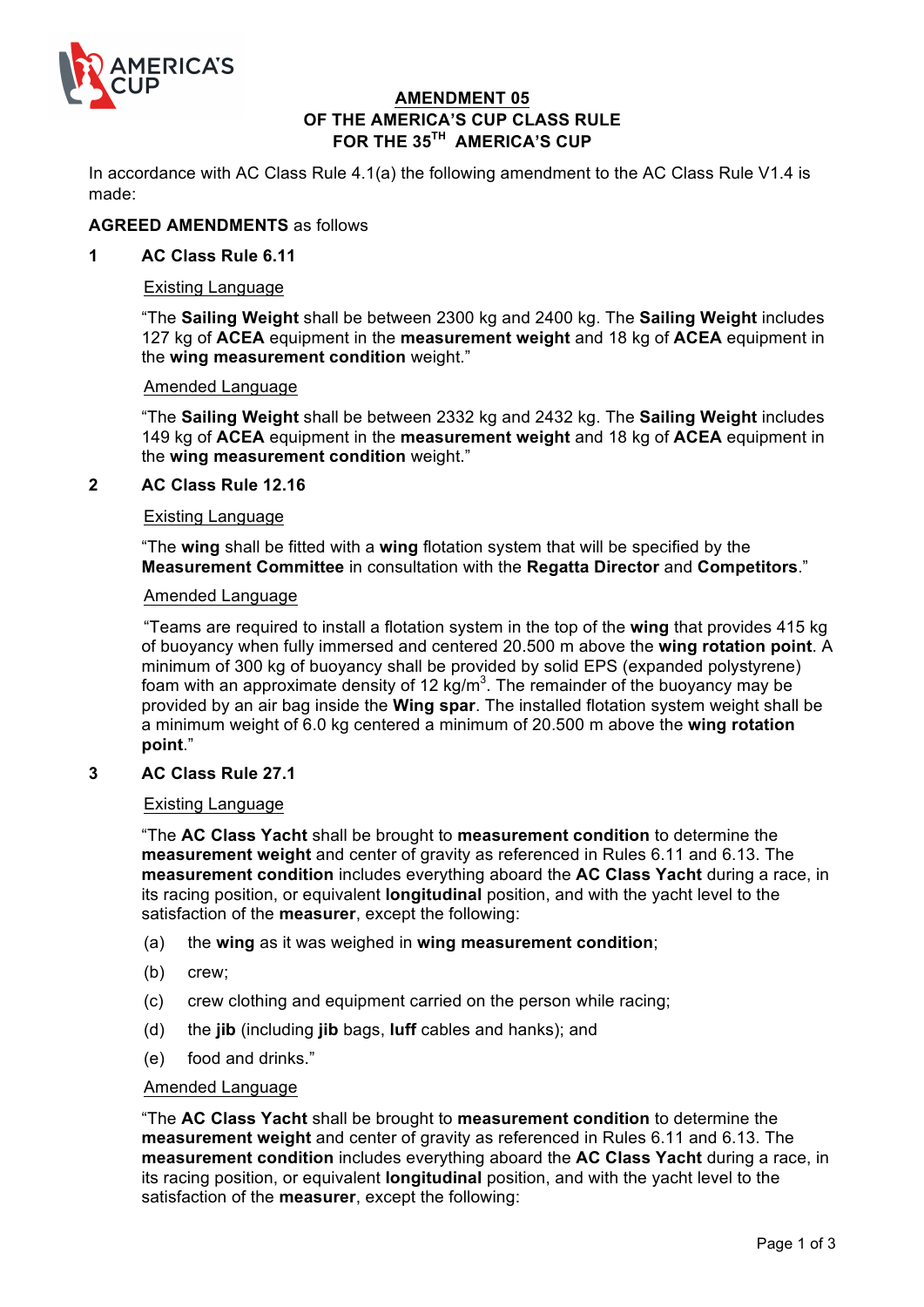

# **AMENDMENT 05 OF THE AMERICA'S CUP CLASS RULE FOR THE 35TH AMERICA'S CUP**

In accordance with AC Class Rule 4.1(a) the following amendment to the AC Class Rule V1.4 is made:

## **AGREED AMENDMENTS** as follows

# **1 AC Class Rule 6.11**

#### Existing Language

"The **Sailing Weight** shall be between 2300 kg and 2400 kg. The **Sailing Weight** includes 127 kg of **ACEA** equipment in the **measurement weight** and 18 kg of **ACEA** equipment in the **wing measurement condition** weight."

#### Amended Language

"The **Sailing Weight** shall be between 2332 kg and 2432 kg. The **Sailing Weight** includes 149 kg of **ACEA** equipment in the **measurement weight** and 18 kg of **ACEA** equipment in the **wing measurement condition** weight."

### **2 AC Class Rule 12.16**

#### Existing Language

"The **wing** shall be fitted with a **wing** flotation system that will be specified by the **Measurement Committee** in consultation with the **Regatta Director** and **Competitors**."

#### Amended Language

"Teams are required to install a flotation system in the top of the **wing** that provides 415 kg of buoyancy when fully immersed and centered 20.500 m above the **wing rotation point**. A minimum of 300 kg of buoyancy shall be provided by solid EPS (expanded polystyrene) foam with an approximate density of 12 kg/m<sup>3</sup>. The remainder of the buoyancy may be provided by an air bag inside the **Wing spar**. The installed flotation system weight shall be a minimum weight of 6.0 kg centered a minimum of 20.500 m above the **wing rotation point**."

### **3 AC Class Rule 27.1**

### Existing Language

"The **AC Class Yacht** shall be brought to **measurement condition** to determine the **measurement weight** and center of gravity as referenced in Rules 6.11 and 6.13. The **measurement condition** includes everything aboard the **AC Class Yacht** during a race, in its racing position, or equivalent **longitudinal** position, and with the yacht level to the satisfaction of the **measurer**, except the following:

- (a) the **wing** as it was weighed in **wing measurement condition**;
- (b) crew;
- (c) crew clothing and equipment carried on the person while racing;
- (d) the **jib** (including **jib** bags, **luff** cables and hanks); and
- (e) food and drinks."

#### Amended Language

"The **AC Class Yacht** shall be brought to **measurement condition** to determine the **measurement weight** and center of gravity as referenced in Rules 6.11 and 6.13. The **measurement condition** includes everything aboard the **AC Class Yacht** during a race, in its racing position, or equivalent **longitudinal** position, and with the yacht level to the satisfaction of the **measurer**, except the following: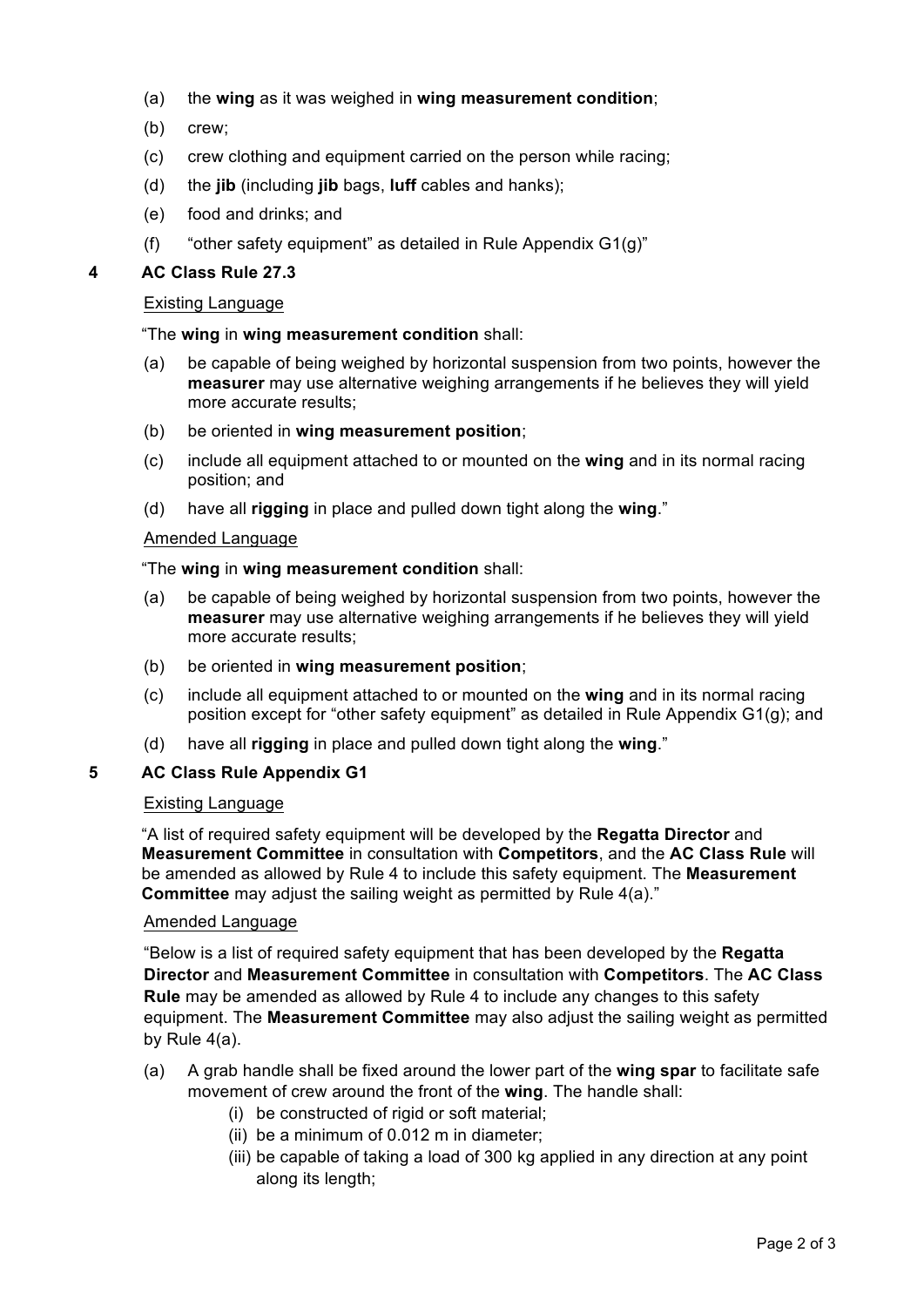- (a) the **wing** as it was weighed in **wing measurement condition**;
- (b) crew;
- (c) crew clothing and equipment carried on the person while racing;
- (d) the **jib** (including **jib** bags, **luff** cables and hanks);
- (e) food and drinks; and
- (f) "other safety equipment" as detailed in Rule Appendix G1(g)"

# **4 AC Class Rule 27.3**

### Existing Language

# "The **wing** in **wing measurement condition** shall:

- (a) be capable of being weighed by horizontal suspension from two points, however the **measurer** may use alternative weighing arrangements if he believes they will yield more accurate results;
- (b) be oriented in **wing measurement position**;
- (c) include all equipment attached to or mounted on the **wing** and in its normal racing position; and
- (d) have all **rigging** in place and pulled down tight along the **wing**."

### Amended Language

### "The **wing** in **wing measurement condition** shall:

- (a) be capable of being weighed by horizontal suspension from two points, however the **measurer** may use alternative weighing arrangements if he believes they will yield more accurate results;
- (b) be oriented in **wing measurement position**;
- (c) include all equipment attached to or mounted on the **wing** and in its normal racing position except for "other safety equipment" as detailed in Rule Appendix G1(g); and
- (d) have all **rigging** in place and pulled down tight along the **wing**."

# **5 AC Class Rule Appendix G1**

#### Existing Language

"A list of required safety equipment will be developed by the **Regatta Director** and **Measurement Committee** in consultation with **Competitors**, and the **AC Class Rule** will be amended as allowed by Rule 4 to include this safety equipment. The **Measurement Committee** may adjust the sailing weight as permitted by Rule 4(a)."

# Amended Language

"Below is a list of required safety equipment that has been developed by the **Regatta Director** and **Measurement Committee** in consultation with **Competitors**. The **AC Class Rule** may be amended as allowed by Rule 4 to include any changes to this safety equipment. The **Measurement Committee** may also adjust the sailing weight as permitted by Rule 4(a).

- (a) A grab handle shall be fixed around the lower part of the **wing spar** to facilitate safe movement of crew around the front of the **wing**. The handle shall:
	- (i) be constructed of rigid or soft material;
	- (ii) be a minimum of 0.012 m in diameter;
	- (iii) be capable of taking a load of 300 kg applied in any direction at any point along its length;